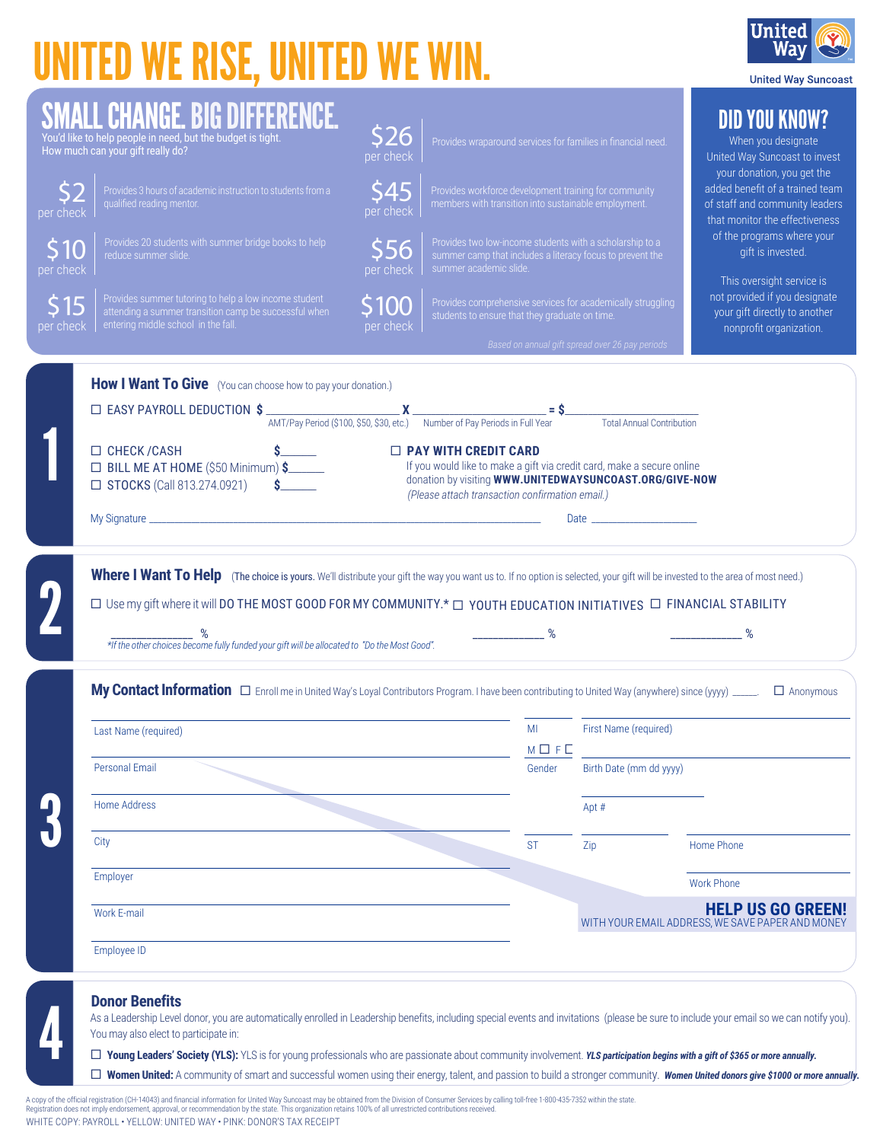## UNITED WE RISE, UNITED WE WIN.



**United Way Suncoast** 

|                               | CHANGE, BIG DIFFERENCE.<br>You'd like to help people in need, but the budget is tight.<br>How much can your gift really do?                                                                                                                              | per check                                |                                                                                                               |                           | Provides wraparound services for families in financial need.                                                                      | <b>DID YOU KNOW?</b><br>When you designate<br>United Way Suncoast to invest                                                                                                           |
|-------------------------------|----------------------------------------------------------------------------------------------------------------------------------------------------------------------------------------------------------------------------------------------------------|------------------------------------------|---------------------------------------------------------------------------------------------------------------|---------------------------|-----------------------------------------------------------------------------------------------------------------------------------|---------------------------------------------------------------------------------------------------------------------------------------------------------------------------------------|
| くつ<br>per check               | Provides 3 hours of academic instruction to students from a<br>qualified reading mentor.                                                                                                                                                                 | $\overline{\overline{545}}$<br>per check | Provides workforce development training for community<br>members with transition into sustainable employment. |                           |                                                                                                                                   | your donation, you get the<br>added benefit of a trained team<br>of staff and community leaders<br>that monitor the effectiveness                                                     |
| per check                     | Provides 20 students with summer bridge books to help<br>reduce summer slide.                                                                                                                                                                            | \$56<br>per check                        | summer academic slide.                                                                                        |                           | Provides two low-income students with a scholarship to a<br>summer camp that includes a literacy focus to prevent the             | of the programs where your<br>gift is invested.                                                                                                                                       |
| $\overline{515}$<br>per check | Provides summer tutoring to help a low income student<br>attending a summer transition camp be successful when<br>entering middle school in the fall.                                                                                                    | \$100<br>per check                       | students to ensure that they graduate on time.                                                                |                           | Provides comprehensive services for academically struggling<br>Based on annual gift spread over 26 pay periods                    | This oversight service is<br>not provided if you designate<br>your gift directly to another<br>nonprofit organization.                                                                |
|                               | <b>How I Want To Give</b> (You can choose how to pay your donation.)                                                                                                                                                                                     |                                          |                                                                                                               |                           |                                                                                                                                   |                                                                                                                                                                                       |
|                               | □ EASY PAYROLL DEDUCTION \$<br>AMT/Pay Period (\$100, \$50, \$30, etc.) Number of Pay Periods in Full Year Total Annual Contribution                                                                                                                     |                                          |                                                                                                               |                           |                                                                                                                                   |                                                                                                                                                                                       |
|                               | □ CHECK / CASH<br>$\Box$ BILL ME AT HOME (\$50 Minimum) \$<br>□ STOCKS (Call 813.274.0921)                                                                                                                                                               |                                          | $\Box$ PAY WITH CREDIT CARD<br>(Please attach transaction confirmation email.)                                |                           | If you would like to make a gift via credit card, make a secure online<br>donation by visiting WWW.UNITEDWAYSUNCOAST.ORG/GIVE-NOW |                                                                                                                                                                                       |
|                               |                                                                                                                                                                                                                                                          |                                          |                                                                                                               |                           | Date _______________                                                                                                              |                                                                                                                                                                                       |
|                               | □ Use my gift where it will DO THE MOST GOOD FOR MY COMMUNITY.* □ YOUTH EDUCATION INITIATIVES □ FINANCIAL STABILITY                                                                                                                                      |                                          |                                                                                                               |                           |                                                                                                                                   | Where I Want To Help (The choice is yours. We'll distribute your gift the way you want us to. If no option is selected, your gift will be invested to the area of most need.)<br>$\%$ |
|                               | *If the other choices become fully funded your gift will be allocated to "Do the Most Good".<br>My Contact Information $\Box$ Enroll me in United Way's Loyal Contributors Program. I have been contributing to United Way (anywhere) since (yyyy) _____ |                                          |                                                                                                               |                           |                                                                                                                                   |                                                                                                                                                                                       |
|                               | Last Name (required)                                                                                                                                                                                                                                     |                                          |                                                                                                               | MI                        | First Name (required)                                                                                                             |                                                                                                                                                                                       |
|                               | <b>Personal Email</b>                                                                                                                                                                                                                                    |                                          |                                                                                                               | $M \Box F \Box$<br>Gender | Birth Date (mm dd yyyy)                                                                                                           |                                                                                                                                                                                       |
|                               | Home Address                                                                                                                                                                                                                                             |                                          |                                                                                                               |                           | Apt #                                                                                                                             |                                                                                                                                                                                       |
|                               | City                                                                                                                                                                                                                                                     |                                          |                                                                                                               | <b>ST</b>                 | Zip                                                                                                                               | Home Phone                                                                                                                                                                            |
|                               | Employer                                                                                                                                                                                                                                                 |                                          |                                                                                                               |                           |                                                                                                                                   | <b>Work Phone</b>                                                                                                                                                                     |
|                               | Work E-mail                                                                                                                                                                                                                                              |                                          |                                                                                                               |                           |                                                                                                                                   |                                                                                                                                                                                       |
|                               | Employee ID                                                                                                                                                                                                                                              |                                          |                                                                                                               |                           |                                                                                                                                   | $\Box$ Anonymous<br><b>HELP US GO GREEN!</b><br>WITH YOUR EMAIL ADDRESS, WE SAVE PAPER AND MONEY                                                                                      |

A copy of the official registration (CH-14043) and financial information for United Way Suncoast may be obtained from the Division of Consumer Services by calling toll-free 1-800-435-7352 within the state.<br>Registration doe WHITE COPY: PAYROLL • YELLOW: UNITED WAY • PINK: DONOR'S TAX RECEIPT